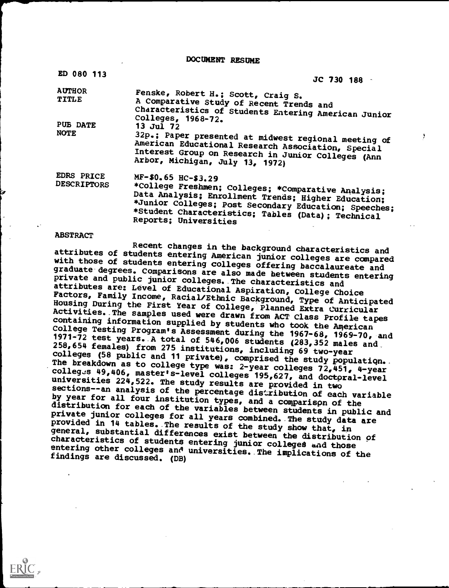DOCUMENT RESUME

| ED 080 113                              | JC 730 188                                                                                                                                                                                                                                                                |    |
|-----------------------------------------|---------------------------------------------------------------------------------------------------------------------------------------------------------------------------------------------------------------------------------------------------------------------------|----|
| <b>AUTHOR</b><br>TITLE                  | Fenske, Robert H.; Scott, Craig S.<br>A Comparative Study of Recent Trends and<br>Characteristics of Students Entering American Junior<br>Colleges, 1968-72.                                                                                                              |    |
| PUB DATE<br><b>NOTE</b>                 | 13 Jul 72<br>32p.; Paper presented at midwest regional meeting of<br>American Educational Research Association, Special<br>Interest Group on Research in Junior Colleges (Ann<br>Arbor, Michigan, July 13, 1972)                                                          | J. |
| <b>EDRS PRICE</b><br><b>DESCRIPTORS</b> | MF-\$0.65 HC-\$3.29<br>*College Freshmen; Colleges; *Comparative Analysis;<br>Data Analysis; Enrollment Trends; Higher Education;<br>*Junior Colleges; Post Secondary Education; Speeches;<br>*Student Characteristics; Tables (Data); Technical<br>Reports; Universities |    |

### ABSTRACT

Recent changes in the background characteristics and<br>attributes of students entering American junior colleges are compared with those of students entering colleges offering baccalaureate and<br>graduate degrees. Comparisons are also made between students entering<br>private and public junior colleges. The characteristics and<br>attributes are: Level of 1971-72 test years. A total of 546,006 students (283,352 males and 258,654 females) from 275 institutions, including 69 two-year<br>colleges (58 public and 11 private), comprised the study population. The breakdown as to college type was: 2-year colleges  $72,451$ , 4-year colleges 49,406, master's The breakdown as to college type was: 2-year colleges 72,451, 4-year<br>colleges 49,406, master's-level colleges 195,627, and doctpral-level<br>universities 224,522. The study results are provided in two<br>sections--an analysis o sections--an analysis of the percentage distribution of each variable<br>by year for all four institution types, and a comparison of the<br>distribution for each of the variables between students in public and<br>private junior col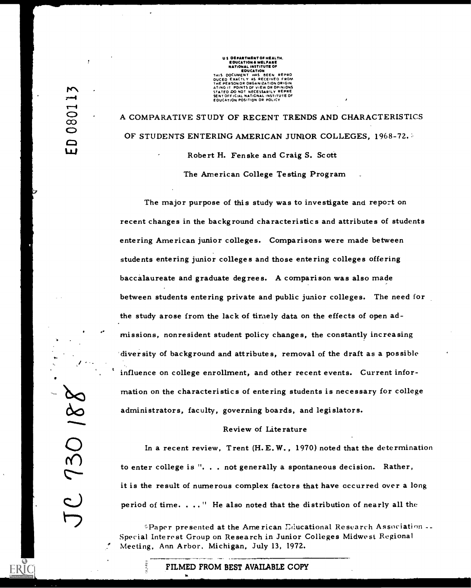US **DEPARTMENT OF HEALTH.**<br> **EDUCATION A WELFARE**<br> **RATIONAL INSTITUTE OF<br>
EDUCATION A WELFARE**<br>
THIS DOCUMENT HAS BEEN REPRO<br>
DUCED EXACTLY AS RECEIVED FROM<br>
ATING IT POINTS OF VIEW OR OPINIONS<br>
STATED DO NOT NECESSARILY

A COMPARATIVE STUDY OF RECENT TRENDS AND CHARACTERISTICS OF STUDENTS ENTERING AMERICAN JUNIOR COLLEGES, 1968-72. Robert H. Fenske and Craig S. Scott

The American College Testing Program

The major purpose of this study was to investigate and report on recent changes in the background characteristics and attributes of students entering American junior colleges. Comparisons were made between students entering junior colleges and those entering colleges offering baccalaureate and graduate degrees. A comparison was also made between students entering private and public junior colleges. The need for the study arose from the lack of timely data on the effects of open admissions, nonresident student policy changes, the constantly increasing -diversity of background and attributes, removal of the draft as a possible influence on college enrollment, and other recent events. Current information on the characteristics of entering students is necessary for college administrators, faculty, governing boards, and legislators.

### Review of Literature

In a recent review, Trent (H.E.W., 1970) noted that the determination to enter college is ". . . not generally a spontaneous decision. Rather, it is the result of numerous complex factors that have cccurred over a long period of time. . .. " He also noted that the distribution of nearly all the

 $P$ aper presented at the American Educational Research Association  $\cdots$ Special Interest Group on Research in Junior Colleges Midwest Regional Meeting, Ann Arbor, Michigan, July 13, 1972.

### FILMED FROM BEST AVAILABLE COPY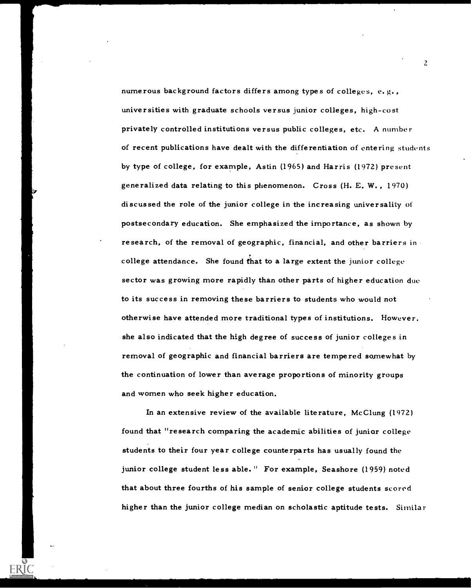numerous background factors differs among types of colleges, e.g., universities with graduate schools versus junior colleges, high-cost privately controlled institutions versus public colleges, etc. A number of recent publications have dealt with the differentiation of entering students by type of college, for example, Astin (1965) and Harris (1972) present generalized data relating to this phenomenon. Cross (H. E. W. , 1970) discussed the role of the junior college in the increasing universality of postsecondary education. She emphasized the importance, as shown by research, of the removal of geographic, financial, and other barriers in college attendance. She found that to a large extent the junior college sector was growing more rapidly than other parts of higher education due to its success in removing these barriers to students who would not otherwise have attended more traditional types of institutions. However. she also indicated that the high degree of success of junior colleges in removal of geographic and financial barriers are tempered somewhat by the continuation of lower than average proportions of minority groups and women who seek higher education.

In an extensive review of the available literature, McClung (1972) found that "research comparing the academic abilities of junior college students to their four year college counterparts has usually found the junior college student less able." For example, Seashore (1959) noted that about three fourths of his sample of senior college students scored higher than the junior college median on scholastic aptitude tests. Similar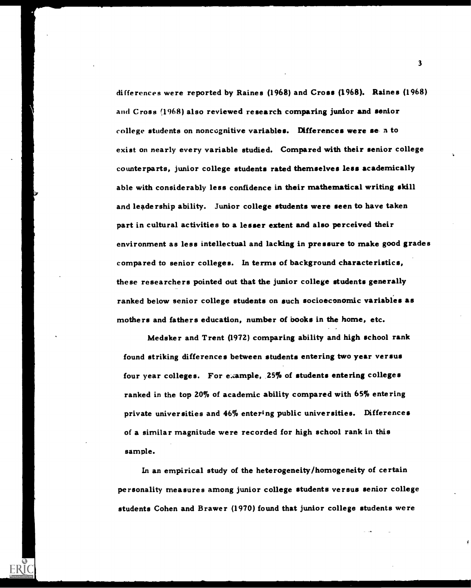differences were reported by Raines (1968) and Cross (1968). Raines (1968) and Cross (1968) also reviewed research comparing junior and senior college students on noncognitive variables. Differences were seen to exist on nearly every variable studied. Compared with their senior college counterparts, junior college students rated themselves less academically able with considerably less confidence in their mathematical writing skill and leadership ability. Junior college students were seen to have taken part in cultural activities to a lesser extent and also perceived their environment as less intellectual and lacking in pressure to make good grades compared to senior colleges. In terms of background characteristics, these researchers pointed out that the junior college students generally ranked below senior college students on such socioeconomic variables as mothers and fathers education, number of books in the home, etc.

Medsker and Trent (1972) comparing ability and high school rank found striking differences between students entering two year versus four year colleges. For example, 25% of students entering colleges ranked in the top 20% of academic ability compared with 65% entering private universities and 46% entering public universities. Differences of a similar magnitude were recorded for high school rank in this sample.

In an empirical study of the heterogeneity/homogeneity of certain personality measures among junior college students versus senior college students Cohen and Brawer (1970) found that junior college students were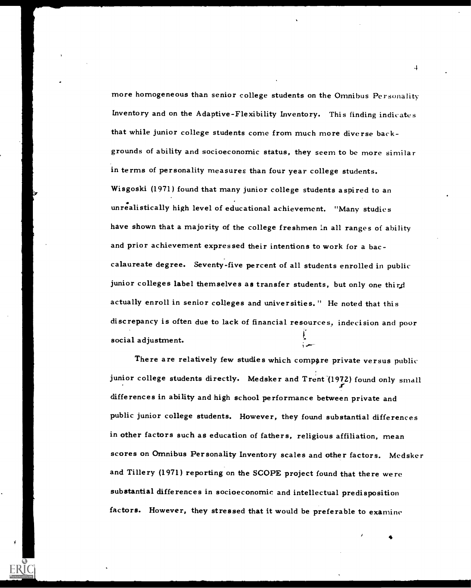more homogeneous than senior college students on the Omnibus Personality Inventory and on the Adaptive-Flexibility Inventory. This finding indicates that while junior college students come from much more diverse backgrounds of ability and socioeconomic status, they seem to be more similar in terms of personality measures than four year college students. Wisgoski (1971) found that many junior college students aspired to an unrealistically high level of educational achievement. "Many studies have shown that a majority of the college freshmen in all ranges of ability and prior achievement expressed their intentions to work for a baccalaureate degree. Seventy-five percent of all students enrolled in public junior colleges label themselves as transfer students, but only one third actually enroll in senior colleges and universities." He noted that this discrepancy is often due to lack of financial resources, indecision and poor social adjustment.

There are relatively few studies which compare private versus public junior college students directly. Medsker and Trent (1972) found only small differences in ability and high school performance between private and public junior college students. However, they found substantial differences in other factors such as education of fathers, religious affiliation, mean scores on Omnibus Personality Inventory scales and other factors. Medsker and Tillery (1971) reporting on the SCOPE project found that there were substantial differences in socioeconomic and intellectual predisposition factors. However, they stressed that it would be preferable to examine

4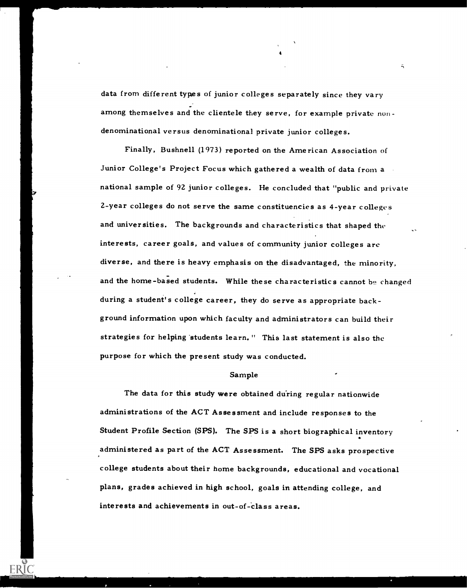data from different types of junior colleges separately since they vary among themselves and the clientele they serve, for example private nondenominational versus denominational private junior colleges.

Finally, Bushnell (1973) reported on the American Association of Junior College's Project Focus which gathered a wealth of data from a national sample of 92 junior colleges. He concluded that "public and private 2-year colleges do not serve the same constituencies as 4-year colleges and universities. The backgrounds and characteristics that shaped the interests, career goals, and values of community junior colleges are diverse, and there is heavy emphasis on the disadvantaged, the minority, and the home-based students. While these characteristics cannot be changed during a student's college career, they do serve as appropriate background information upon which faculty and administrators can build their strategies for helping students learn." This last statement is also the purpose for which the present study was conducted.

### Sample

The data for this study were obtained during regular nationwide administrations of the ACT Assessment and include responses to the Student Profile Section (SPS). The SPS is a short biographical inventory administered as part of the ACT Assessment. The SPS asks prospective college students about their home backgrounds, educational and vocational plans, grades achieved in high school, goals in attending college, and interests and achievements in out-of-class areas.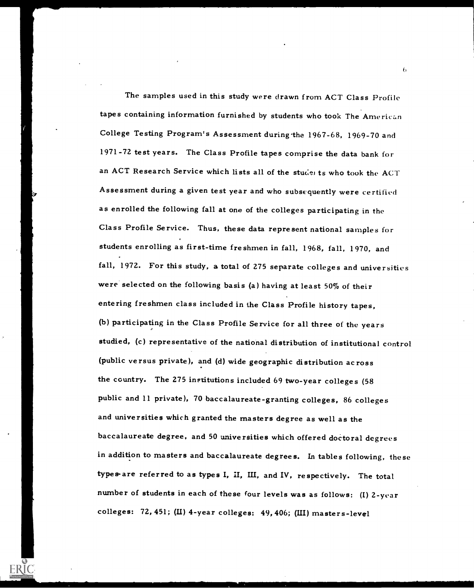The samples used in this study were drawn from ACT Class Profile tapes containing information furnished by students who took The American College Testing Program's Assessment during the 1967-68, 1969-70 and 1971-72 test years. The Class Profile tapes comprise the data bank for an ACT Research Service which lists all of the stude ts who took the ACT Assessment during a given test year and who subsequently were certified as enrolled the following fall at one of the colleges participating in the Class Profile Service. Thus, these data represent national samples for students enrolling as first-time freshmen in fall, 1968, fall, 1970, and fall, 1972. For this study, a total of 275 separate colleges and universities were selected on the following basis (a) having at least 50% of their entering freshmen class included in the Class Profile history tapes, (b) participating in the Class Profile Service for all three of the years studied, (c) representative of the national distribution of institutional control (public versus private), and (d) wide geographic distribution across the country. The 275 institutions included 69 two-year colleges (58 public and 11 private), 70 baccalaureate-granting colleges, 86 colleges and universities which granted the masters degree as well as the baccalaureate degree, and 50 universities which offered doctoral degrees in addition to masters and baccalaureate degrees. In tables following, these types-are referred to as types I, II, III, and IV, respectively. The total number of students in each of these four levels was as follows: (I) 2-year colleges: 72, 451; (U) 4-year colleges: 49, 406; (III) masters-level

 $\mathfrak{b}$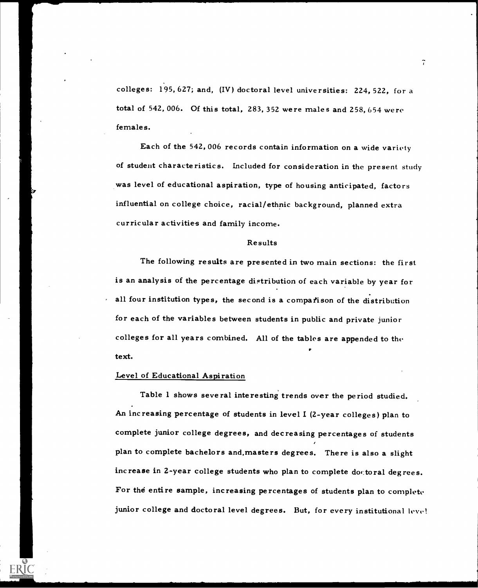colleges: 195, 627; and, (IV) doctoral level universities: 224, 522, for a total of 542, 006. Of this total, 283, 352 were males and 258, 654 were females.

Each of the 542,006 records contain information on a wide variety of student characteristics. Included for consideration in the present study was level of educational aspiration, type of housing anticipated, factors influential on college choice, racial/ethnic background, planned extra curricular activities and family income.

### Results

The following results are presented in two main sections: the first is an analysis of the percentage distribution of each variable by year for all four institution types, the second is a comparison of the distribution for each of the variables between students in public and private junior colleges for all years combined. All of the tables are appended to the text.

### Level of Educational Aspiration

Table 1 shows several interesting trends over the period studied. An increasing percentage of students in level I (2-year colleges) plan to complete junior college degrees, and decreasing percentages of students plan to complete bachelors and.masters degrees. There is also a slight increase in 2-year college students who plan to complete doctoral degrees. For the entire sample, increasing percentages of students plan to complete junior college and doctoral level degrees. But, for every institutional level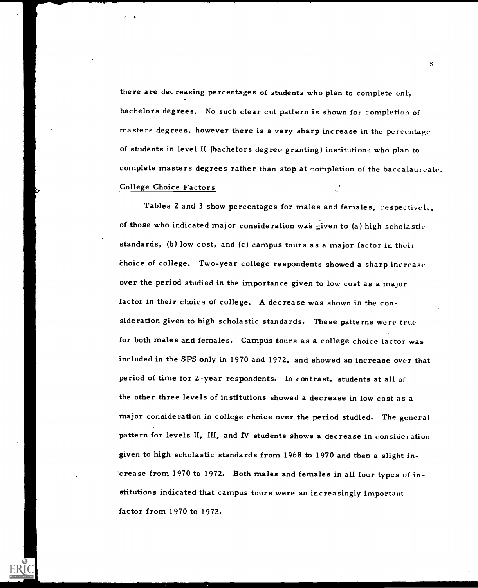there are decreasing percentages of students who plan to complete only bachelors degrees. No such clear cut pattern is shown for completion of masters degrees, however there is a very sharp increase in the percentage of students in level II (bachelors degree granting) institutions who plan to complete masters degrees rather than stop at completion of the baccalaureate. College Choice Factors

Tables 2 and 3 show percentages for males and females, respectively, of those who indicated major consideration was given to (a) high scholastic standards, (b) low cost, and (c) campus tours as a major factor in their 'Choice of college. Two-year college respondents showed a sharp increase over the period studied in the importance given to low cost as a major factor in their choice of college. A decrease was shown in the consideration given to high scholastic standards. These patterns were true for both males and females. Campus tours as a college choice factor was included in the SPS only in 1970 and 1972, and showed an increase over that period of time for 2-year respondents. In contrast, students at all of the other three levels of institutions showed a decrease in low cost as a major consideration in college choice over the period studied. The general pattern for levels II, III, and IV students shows a decrease in consideration given to high scholastic standards from 1968 to 1970 and then a slight increase from 1970 to 1972. Both males and females in all four types of institutions indicated that campus tours were an increasingly important factor from 1970 to 1972.

S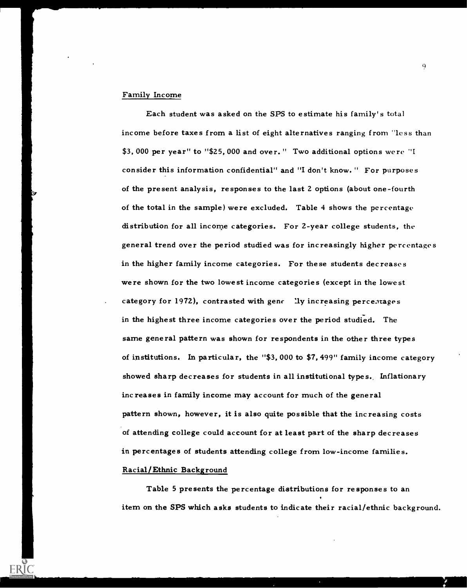### Family Income

Each student was asked on the SPS to estimate his family's total income before taxes from a list of eight alternatives ranging from "less than \$3, 000 per year" to "\$25, 000 and over. " Two additional options were "I consider this information confidential" and "I don't know. " For purposes of the present analysis, responses to the last 2 options (about one-fourth of the total in the sample) were excluded. Table 4 shows the percentage distribution for all income categories. For 2-year college students, the general trend over the period studied was for increasingly higher percentages in the higher family income categories. For these students decreases were shown for the two lowest income categories (except in the lowest category for 1972), contrasted with gene ly increasing percentages in the highest three income categories over the period studied. The same general pattern was shown for respondents in the other three types of institutions. In particular, the "\$3, 000 to \$7, 499" family income category showed sharp decreases for students in all institutional types. Inflationary increases in family income may account for much of the general pattern shown, however, it is also quite possible that the increasing costs of attending college could account for at least part of the sharp decreases in percentages of students attending college from low-income families. Racial/Ethnic Background

Table 5 presents the percentage distributions for responses to an . item on the SPS which asks students to indicate their racial/ethnic background.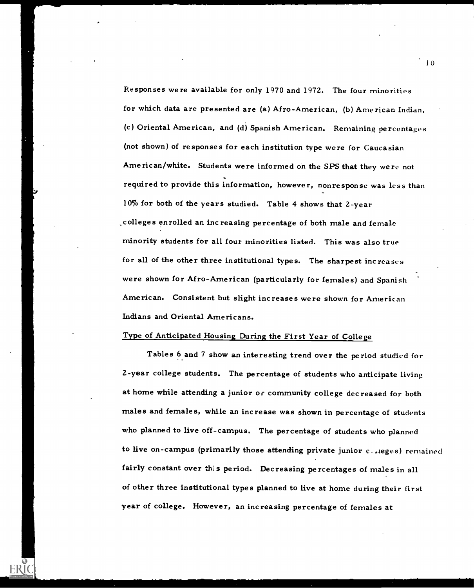Responses were available for only 1970 and 1972. The four minorities for which data are presented are (a) Afro-American, (b) American Indian, (c) Oriental American, and (d) Spanish American. Remaining percentages (not shown) of responses for each institution type were for Caucasian American/white. Students were informed on the SPS that they were not required to provide this information, however, nonresponse was less than --- 10% for both of the years studied. Table 4 shows that 2-year \_colleges enrolled an increasing percentage of both male and female minority students for all four minorities listed. This was also true for all of the other three institutional types. The sharpest increases were shown for Afro-American (particularly for females) and Spanish American. Consistent but slight increases were shown for American Indians and Oriental Americans.

### Type of Anticipated Housing During the First Year of College

Tables 6 and 7 show an interesting trend over the period studied for 2-year college students. The percentage of students who anticipate living at home while attending a junior or community college decreased for both males and females, while an increase was shown in percentage of students who planned to live off-campus. The percentage of students who planned to live on-campus (primarily those attending private junior c\_..leges) remained fairly constant over this period. Decreasing percentages of males in all of other three institutional types planned to live at home during their first year of college. However, an increasing percentage of females at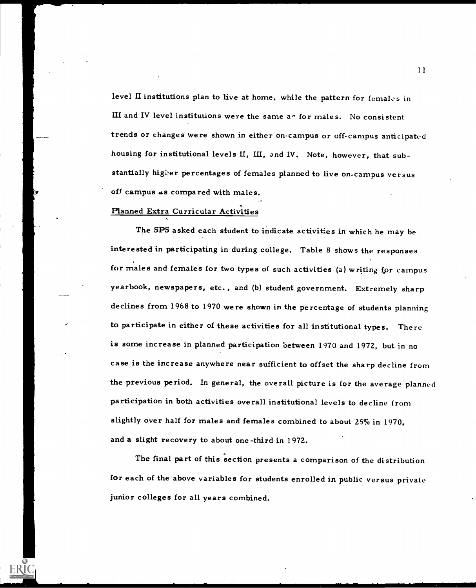level U institutions plan to live at home, while the pattern for females in III and IV level institutions were the same  $a - f$  for males. No consistent trends or changes were shown in either on-campus or off-campus anticipated housing for institutional levels U, III, and IV. Note, however, that substantially higher percentages of females planned to live on-campus versus off campus as compared with males.

### Planned Extra Curricular Activities

The SPS asked each student to indicate activities in which he may be interested in participating in during college. Table 8 shows the responses for males and females for two types of such activities (a) writing for campus yearbook, newspapers, etc. , and (b) student government. Extremely sharp declines from 1968 to 1970 were shown in the percentage of students planning to participate in either of these activities for all institutional types. There is some increase in planned participation between 1970 and 1972, but in no case is the increase anywhere near sufficient to offset the sharp decline from the previous period. In general, the overall picture is for the average planned participation in both activities overall institutional levels to decline from slightly over half for males and females combined to about 25% in 1970, and a slight recovery to about one-third in 1972.

The final part of this section presents a comparison of the distribution for each of the above variables for students enrolled in public versus private junior colleges for all years combined.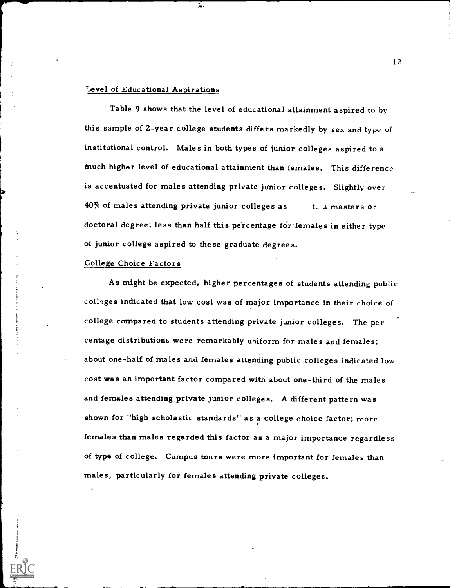### Level of Educational Aspirations

츷.

Table 9 shows that the level of educational attainment aspired to by this sample of 2-year college students differs markedly by sex and type of institutional control. Males in both types of junior colleges aspired to a Much higher level of educational attainment than females. This difference is accentuated for males attending private junior colleges. Slightly over 40% of males attending private junior colleges as the a masters or doctoral degree; less than half this percentage for-females in either type of junior college aspired to these graduate degrees.

### College Choice Factors

As might be expected, higher percentages of students attending public coU'ges indicated that low cost was of major importance in their choice of college compared to students attending private junior colleges. The percentage distributions were remarkably uniform for males and females; about one-half of males and females attending public colleges indicated low cost was an important factor compared with about one-third of the males and females attending private junior colleges. A different pattern was shown for "high scholastic standards" as a college choice factor; more females than males regarded this factor as a major importance regardless of type of college. Campus tours were more important for females than males, particularly for females attending private colleges.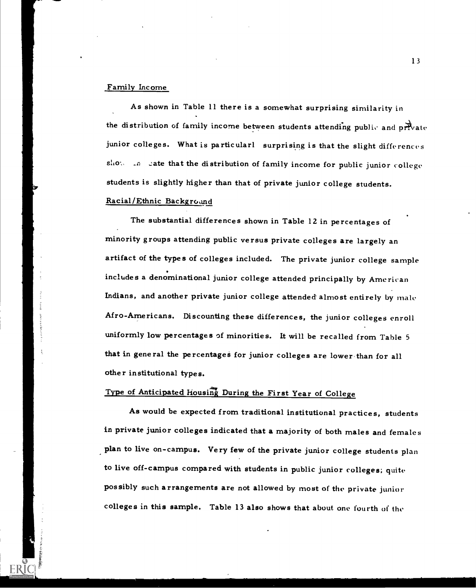### Family Income

As shown in Table 11 there is a somewhat surprising similarity in the distribution of family income between students attending public and private junior colleges. What is particularl surprising is that the slight differences show an eate that the distribution of family income for public junior college students is slightly higher than that of private junior college students.

### Racial/Ethnic Background

The substantial differences shown in Table 12 in percentages of minority groups attending public versus private colleges are largely an artifact of the types of colleges included. The private junior college sample includes a denominational junior college attended principally by American Indians, and another private junior college attended almost entirely by male Afro-Americans. Discounting these differences, the junior colleges enroll uniformly low percentages of minorities. It will be recalled from Table 5 that in general the percentages for junior colleges are lower than for all other institutional types.

### Type of Anticipated Housing During the First Year of College

As would be expected from traditional institutional practices, students in private junior colleges indicated that a majority of both males and females plan to live on-campus. Very few of the private junior college students plan to live off-campus compared with students in public junior colleges; quite possibly such arrangements are not allowed by most of the private junior colleges in this sample. Table 13 also shows that about one fourth of the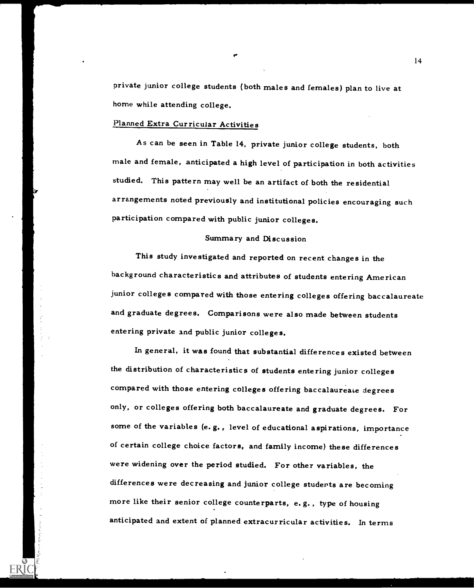private junior college students (both males and females) plan to live at home while attending college.

### Planned Extra Curricular Activities

As can be seen in Table 14, private junior college students, both male and female, anticipated a high level of participation in both activities studied. This pattern may well be an artifact of both the residential arrangements noted previously and institutional policies encouraging such participation compared with public junior colleges.

### Summary and Discussion

This study investigated and reported on recent changes in the background characteristics and attributes of students entering American junior colleges compared with those entering colleges offering baccalaureate and graduate degrees. Comparisons were also made between students entering private and public junior colleges.

In general, it was found that substantial differences existed between the distribution of characteristics of students entering junior colleges compared with those entering colleges offering baccalaureate degrees only, or colleges offering both baccalaureate and graduate degrees. For some of the variables (e.g., level of educational aspirations, importance of certain college choice factors, and family income) these differences were widening over the period studied. For other variables, the differences were decreasing and junior college studerts are becoming more like their senior college counterparts, e. g. , type of housing anticipated and extent of planned extracurricular activities. In terms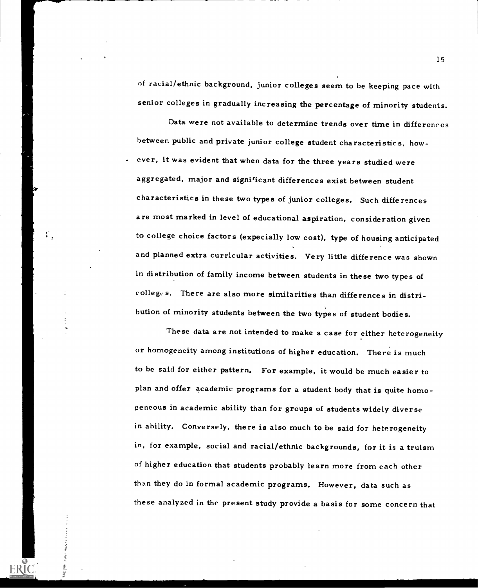of racial/ethnic background, junior colleges seem to be keeping pace with senior colleges in gradually increasing the percentage of minority students.

Data were not available to determine trends over time in differences between public and private junior college student characteristics, how ever, it was evident that when data for the three years studied were aggregated, major and significant differences exist between student characteristics in these two types of junior colleges. Such differences are most marked in level of educational aspiration, consideration given to college choice factors (expecially low cost), type of housing anticipated and planned extra curricular activities. Very little difference was shown in distribution of family income between students in these two types of  $\text{collegc}$ s. There are also more similarities than differences in distribution of minority students between the two types of student bodies.

These data are not intended to make a case for either heterogeneity or homogeneity among institutions of higher education. There is much to be said for either pattern. For example, it would be much easier to plan and offer academic programs for a student body that is quite homogeneous in academic ability than for groups of students widely diverse in ability. Conversely, there is also much to be said for heterogeneity in, for example, social and racial/ethnic backgrounds, for it is a truism of higher education that students probably learn more from each other than they do in formal academic programs. However, data such as these analyzed in the present study provide a basis for some concern that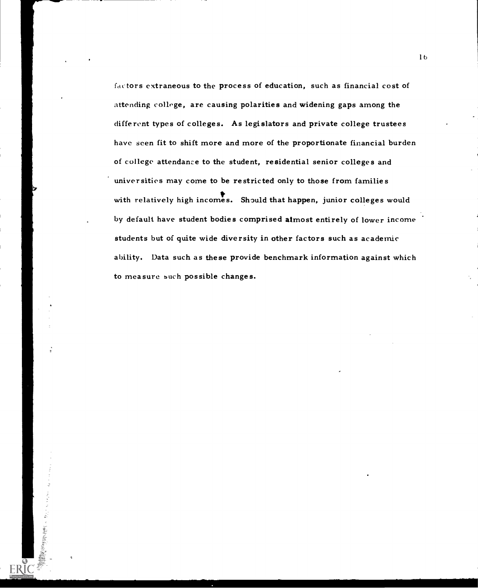factors extraneous to the process of education, such as financial cost of attending college, are causing polarities and widening gaps among the different types of colleges. As legislators and private college trustees have seen fit to shift more and more of the proportionate financial burden of college attendance to the student, residential senior colleges and universities may come to be restricted only to those from families with relatively high incomes. Should that happen, junior colleges would by default have student bodies comprised almost entirely of lower income students but of quite wide diversity in other factors such as academic ability. Data such as these provide benchmark information against which to measure such possible changes.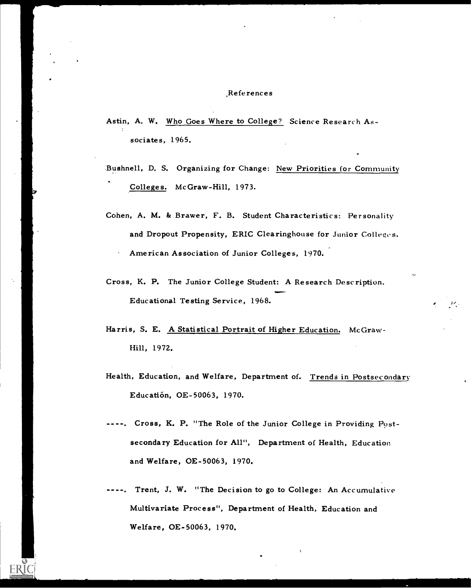### References

- Astin, A. W. Who Goes Where to College? Science Research Associates, 1965.
- Bushnell, D. S. Organizing for Change: New Priorities for Community Colleges. McGraw-Hill, 1973.
- Cohen, A. M. & Brawer, F. B. Student Characteristics: Personality and Dropout Propensity, ERIC Clearinghouse for Junior Colleges. American Association of Junior Colleges, 1970.
- Cross, K. P. The Junior College Student: A Research Description. .111..... Educational Testing Service, 1968.
- Harris, S. E. A Statistical Portrait of Higher Education. McGraw-Hill, 1972.
- Health, Education, and Welfare, Department of. Trends in Postsecondary Education, 0E-50063, 1970.
- --. Cross, K. P. "The Role of the Junior College in Providing Postsecondary Education for All", Department of Health, Education and Welfare, OE-50063, 1970.
- Trent, J. W. "The Decision to go to College: An Accumulative Multivariate Process", Department of Health, Education and Welfare, 0E-50063, 1970.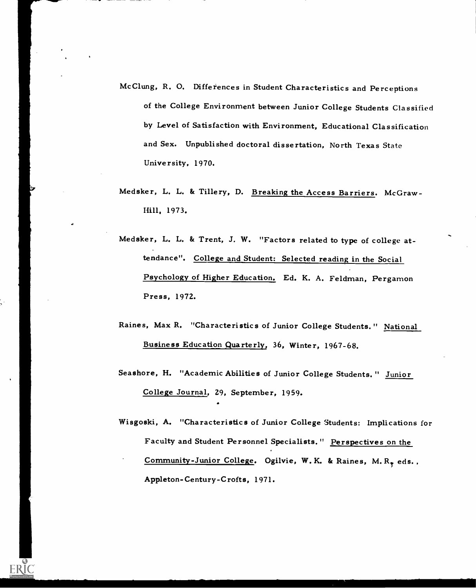- McClung, R. 0. Differences in Student Characteristics and Perceptions of the College Environment between Junior College Students Classified by Level of Satisfaction with Environment, Educational Classification and Sex. Unpublished doctoral dissertation, North Texas State University, 1970.
- Medsker, L. L. & Tillery, D. Breaking the Access Barriers. McGraw-Hill, 1973.
- Medsker, L. L. & Trent, J. W. "Factors related to type of college attendance". College and Student: Selected reading in the Social Psychology of Higher Education. Ed. K. A. Feldman, Pergamon Press, 1972.
- Raines, Max R. "Characteristics of Junior College Students." National Business Education Quarterly, 36, Winter, 1967-68.
- Seashore, H. "Academic Abilities of Junior College Students. " Junior College Journal, 29, September, 1959.
- Wisgoski, A. "Characteristics of Junior College Students: Implications for Faculty and Student Personnel Specialists." Perspectives on the Community-Junior College. Ogilvie, W. K. & Raines, M. R<sub>y</sub> eds., Appleton-Century-Crofts, 1971.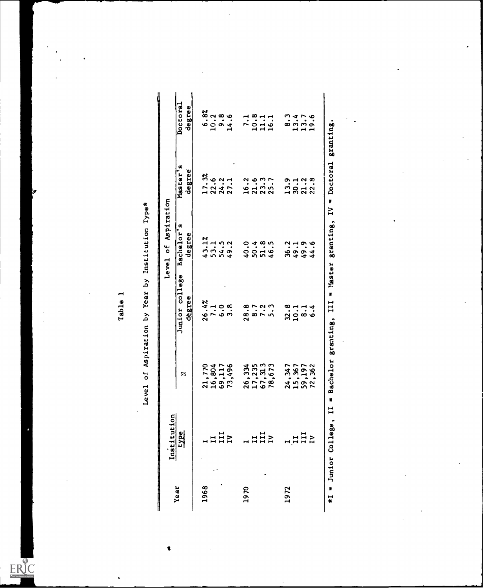### Table 1<br>Level of Aspiration by Year by Institution Type\*

t

|                     | Doctoral       | degree |       | $\begin{array}{r} 6.8\% \\ 10.2 \\ 9.8 \end{array}$ |                  | 14.6          | 7.1    | 10.8   | 11.1            | 16.1            | <u>ား</u> |      | $\frac{13.4}{13.7}$ | 19.6       | granting.              |
|---------------------|----------------|--------|-------|-----------------------------------------------------|------------------|---------------|--------|--------|-----------------|-----------------|-----------|------|---------------------|------------|------------------------|
|                     | Master's       | degree | 17.3% | 22.6                                                | 24.2             | ÷<br>27.1     | 16.2   | 21.6   | 23.3            | 25.7            | 13.9      | 30.1 | 21.2                | 22.8       | Doctoral<br>N          |
| Level of Aspiration | Bachelor's     | degree | 43.1% | 53.1                                                | 54.5             | 49.2          | 40.0   | 50.4   | 51.8            | 46.5            | 36.2      |      | 49.9                | 44.6       | N<br>granting,         |
|                     | Junior college | dégree | 26.4% | 7.1                                                 | $\ddot{\bullet}$ | $\frac{8}{3}$ | 28.8   | 8.7    | 7.2             | <u> م</u><br>ທ່ | 32.8      | 10.1 | $\frac{1}{8}$       | $\ddot{6}$ | a Master<br>111        |
|                     | z              |        |       | 21,770<br>16,804                                    | 69,117           | 73,496        | 26,334 | 17,235 | 67, 313         | 78,673          | 24,347    |      | 15,367<br>59,197    | 72,362     | Bachelor granting,     |
| Institution         | type           |        |       |                                                     |                  | B             |        |        | $\frac{1}{111}$ |                 |           |      | III<br>IV           |            | $*I =$ Junior College, |
|                     | Year           |        | 1968  |                                                     |                  |               | 1970   |        |                 |                 | 1972      |      |                     |            |                        |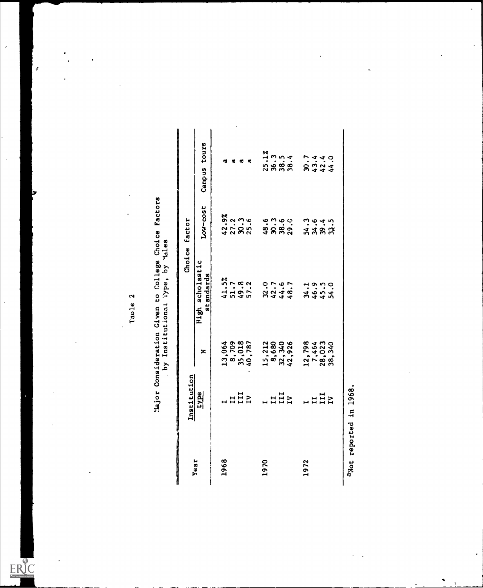| Facto         |                                       |
|---------------|---------------------------------------|
| hoice         |                                       |
| College       | by Y <sub>dles</sub><br>$\frac{1}{2}$ |
| Given to (    |                                       |
| Consideration | by Institutional                      |
| Jor.          |                                       |

|      | Institution    |                                             |                                 | Choice factor           |                                                   |
|------|----------------|---------------------------------------------|---------------------------------|-------------------------|---------------------------------------------------|
| Year | <u>Eyre</u>    | z                                           | High scholastic<br>standards    | Low-cost                | Campus tours                                      |
| 1968 |                |                                             |                                 |                         | ø                                                 |
|      |                |                                             |                                 |                         | ø                                                 |
|      | $\frac{1}{11}$ | 13,064<br>8,709<br>35,018<br>40,787         | $41.5%$<br>51.8<br>57.2<br>57.2 |                         | ದ                                                 |
|      |                |                                             |                                 |                         | ಥ                                                 |
| 1970 |                |                                             |                                 | 48.6                    |                                                   |
|      |                |                                             |                                 |                         |                                                   |
|      | $\frac{1}{11}$ | $15,212$<br>8,680<br>82,340<br>42,926       | 22.76.7<br>2444.7               | 30.60<br>38.61<br>29.01 | $25.1%$<br>$25.3%$<br>$25.3%$<br>$25.4$<br>$25.4$ |
|      |                |                                             |                                 |                         |                                                   |
| 1972 |                |                                             |                                 |                         |                                                   |
|      |                |                                             |                                 |                         |                                                   |
|      | $\frac{1}{11}$ | $12,798$<br>$7,464$<br>$28,023$<br>$36,340$ | ようこ<br>おんこん                     | 1<br>11834<br>1184      | 8444<br>8444                                      |
|      |                |                                             |                                 |                         |                                                   |

J.

 $\mathbf{r}$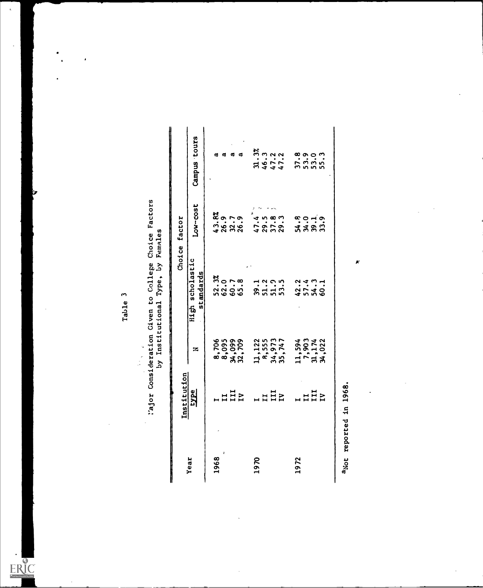$\overline{a}$ 

| i Given to College Choice Factors | by Institutional Type, by Females |
|-----------------------------------|-----------------------------------|
| ajor Consideration                |                                   |
|                                   |                                   |

|      | Institution  |                                             |                               | Choice factor                         |                                 |
|------|--------------|---------------------------------------------|-------------------------------|---------------------------------------|---------------------------------|
| Year | type         | z                                           | High scholastic<br>standards  | Low-cost                              | Campus tours                    |
| 1968 |              |                                             |                               |                                       | a,                              |
|      |              |                                             |                               | $43.82$<br>$26.7$<br>$26.3$<br>$26.9$ | <b>a</b>                        |
|      |              |                                             |                               |                                       | ø                               |
|      | HHE          | 8,706<br>8,095<br>34,099<br>32,709          | $52.3%$<br>$60.7$<br>$65.8$   |                                       | σ                               |
| 1970 |              |                                             |                               | 47.4                                  | $31.3%$<br>46.3<br>47.2<br>47.2 |
|      |              |                                             |                               |                                       |                                 |
|      | HHZ          |                                             | 1200<br>31125                 | $29.5$<br>$37.8$<br>$29.3$            |                                 |
|      |              | 11, 122<br>8, 555<br>34, 973<br>35, 747     |                               |                                       |                                 |
| 1972 |              |                                             |                               |                                       |                                 |
|      |              | $11,594$<br>$7,903$<br>$31,174$<br>$34,022$ | $45.49$<br>$45.49$<br>$45.49$ | $3.382$<br>$3.322$                    |                                 |
|      | n<br>HH<br>H |                                             |                               |                                       |                                 |
|      |              |                                             |                               |                                       |                                 |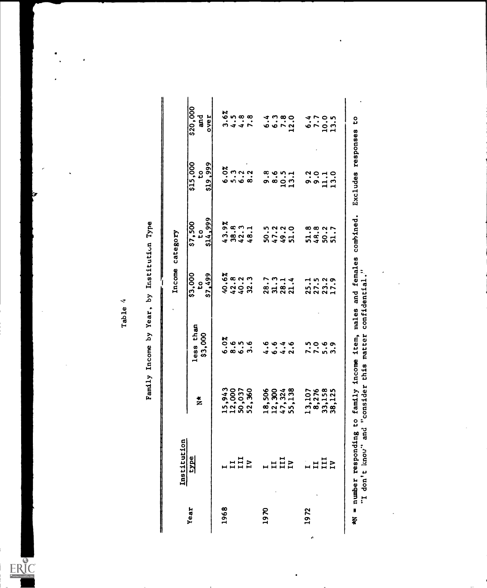| <b>Pe</b>     |
|---------------|
| Institution   |
| ξά            |
| Year          |
| š             |
| <b>Lncome</b> |
| am11y         |

|      | Institution     |                                      |                                                         | Income category            |                                       |                                                           |                        |
|------|-----------------|--------------------------------------|---------------------------------------------------------|----------------------------|---------------------------------------|-----------------------------------------------------------|------------------------|
| Year | type            | $\frac{*}{Z}$                        | less than<br>\$3,000                                    | \$3,000<br>\$7,499<br>٥,   | \$14,999<br>\$7,500<br>٥,             | \$19,999<br>\$15,000<br>ဥ                                 | \$20,000<br>ដូ<br>over |
| 1968 |                 | 15,943<br>12,000                     | 6.0%                                                    | 40.6%<br>42.8              |                                       | 6.0%                                                      | 3.6%                   |
|      | $\frac{11}{11}$ | 50,037                               | $\begin{array}{c} 6 \\ 0 \\ 0 \\ 0 \\ 0 \\ \end{array}$ | $40.2$<br>32.3             | $43.8$<br>$38.3$<br>$42.3$<br>$43.1$  | $\begin{array}{ccc}\n0 & 0 & 0 \\ 0 & 0 & 0\n\end{array}$ | $1, 8, 8$<br>$1, 7, 8$ |
|      |                 | 52,360                               |                                                         |                            |                                       |                                                           |                        |
| 1970 |                 | 18,506<br>12,320<br>47,324<br>55,138 | ؋<br>4                                                  | 28.7                       | ن.<br>پ<br><u>ទី</u>                  | $\frac{8}{9}$ . $\frac{6}{9}$                             |                        |
|      | HIB             |                                      | $\ddot{\phantom{0}}\phantom{0}\phantom{0}6\,.$          | 31.3                       | 47.2                                  |                                                           | $6.980$<br>$6.980$     |
|      |                 |                                      | $4.4$<br>2.6                                            | 28.1                       | 49.2                                  | $10.5$<br>$13.1$                                          |                        |
|      |                 |                                      |                                                         | 21.4                       | $\ddot{\mathbf{c}}$<br>$\overline{5}$ |                                                           |                        |
| 1972 | $\mathbf{H}$    | 13,107                               |                                                         |                            |                                       |                                                           |                        |
|      | HHZ             |                                      | 0.0<br>0.0<br>0.0                                       | 15.19<br>27.3.9<br>27.17.1 | 5.8.9.17<br>5.9.9.17                  | $3.0 - 1.0$<br>$9.0 - 1.0$<br>$1.3 - 1.0$                 | $670.5$<br>$-13.1$     |
|      |                 |                                      |                                                         |                            |                                       |                                                           |                        |
|      |                 | 8,276<br>33,158<br>38,125            | $\bullet$<br>ന                                          |                            |                                       | $\overline{13}$                                           |                        |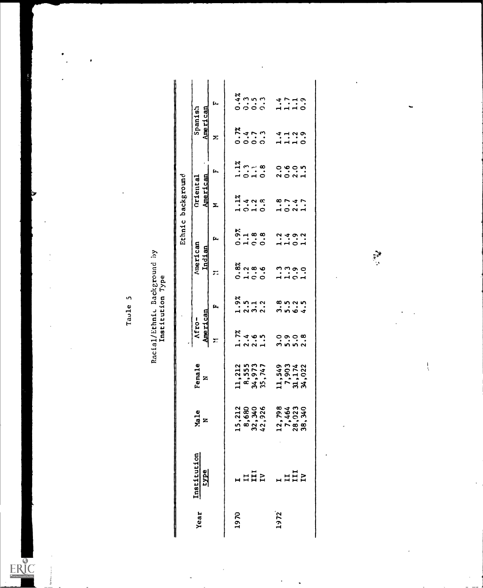,

 $\frac{1}{2}$ 

 $ERIC$ 

Taule 5<br>Racial/Ethnic Background by<br>Institution Type

|      |                                              |                                             |                                     |                                                                      |                                                                        |                                           |                                                           | Ethnic background                                  |                             |                               |                  |
|------|----------------------------------------------|---------------------------------------------|-------------------------------------|----------------------------------------------------------------------|------------------------------------------------------------------------|-------------------------------------------|-----------------------------------------------------------|----------------------------------------------------|-----------------------------|-------------------------------|------------------|
| Year | Institution<br><u>type</u>                   | Male<br>N                                   | Female<br>z                         | American<br>Afro-                                                    |                                                                        | American<br>Indian                        |                                                           | American<br>Oriental                               |                             | American<br>Spanish           |                  |
|      |                                              |                                             |                                     | $\overline{ }$                                                       | Þ,                                                                     | ።                                         | þ.,                                                       | Σ                                                  | Ĺ,                          | Σ                             | Ļ.               |
| 1970 |                                              |                                             | 11,212                              |                                                                      |                                                                        |                                           |                                                           |                                                    |                             |                               |                  |
|      | $\overline{a}$ $\overline{a}$ $\overline{b}$ |                                             |                                     | $-2.4$<br>$-2.5$<br>$-1.7$<br>$-1.5$                                 | $38$<br>$-1$ $-1$ $-1$<br>$-1$<br>$-1$<br>$-1$<br>$-1$<br>$-1$<br>$-1$ | 88<br>0. 1 0. 0<br>0. 1 0. 0              | $\begin{array}{c} 5,16,8 \\ 0,16,0 \\ 0,16,0 \end{array}$ | $1.1$ $\frac{2}{3}$<br>$-1.0$ $\frac{2}{3}$        | $1.1\%$<br>$-1.3$<br>$-1.8$ |                               |                  |
|      |                                              |                                             |                                     |                                                                      |                                                                        |                                           |                                                           |                                                    |                             |                               |                  |
|      |                                              | $15,212$<br>8,680<br>32,340<br>42,926       | 8,555<br>34,973<br>35,747           |                                                                      |                                                                        |                                           |                                                           |                                                    |                             | $0.473$<br>$0.000$<br>$0.000$ |                  |
| 1972 | $\begin{array}{c}\n1 \\ 1 \\ 1\n\end{array}$ | $12,798$<br>$7,464$<br>$28,923$<br>$38,340$ |                                     |                                                                      |                                                                        |                                           |                                                           |                                                    |                             |                               |                  |
|      |                                              |                                             |                                     | $\ddot{\circ}$ $\ddot{\circ}$ $\ddot{\circ}$<br>$\ddot{\circ}$ in in |                                                                        |                                           |                                                           |                                                    |                             |                               |                  |
|      |                                              |                                             |                                     |                                                                      | 8<br>0<br>0<br>0<br>0<br>0                                             | $\frac{1}{1}$ $\frac{1}{1}$ $\frac{0}{0}$ | $2.492$<br>$-1.01$                                        | $\frac{8}{10}$<br>$\frac{7}{10}$<br>$\frac{4}{10}$ | o von<br>Non-i              | $4 - 2$<br>$- 1 - 0$          | $\frac{4}{1110}$ |
|      |                                              |                                             | 11,549<br>7,903<br>31,174<br>34,022 | 2.8                                                                  |                                                                        | $\ddot{\cdot}$                            |                                                           |                                                    |                             |                               |                  |
|      |                                              |                                             |                                     |                                                                      |                                                                        |                                           |                                                           |                                                    |                             |                               |                  |
|      |                                              |                                             |                                     |                                                                      |                                                                        |                                           |                                                           |                                                    |                             |                               |                  |
|      |                                              |                                             |                                     |                                                                      |                                                                        |                                           |                                                           |                                                    |                             |                               |                  |
|      |                                              |                                             |                                     |                                                                      |                                                                        |                                           |                                                           |                                                    |                             |                               |                  |
|      |                                              |                                             |                                     |                                                                      |                                                                        |                                           |                                                           |                                                    |                             |                               |                  |

 $\ddot{\phantom{0}}$ 

 $\ddot{\phantom{0}}$ 

 $\frac{1}{2}$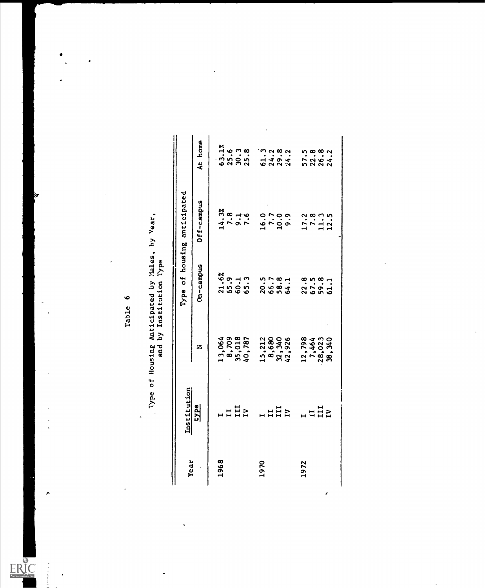| Year | Institution    |                                             |                                       | Type of housing anticipated |                                       |
|------|----------------|---------------------------------------------|---------------------------------------|-----------------------------|---------------------------------------|
|      | type           | z                                           | Cn-campus                             | Off-campus                  | At home                               |
| 1968 |                |                                             |                                       |                             |                                       |
|      |                |                                             |                                       |                             |                                       |
|      | LHHZ           |                                             |                                       | $14.3%$<br>$7.3%$<br>$7.4%$ |                                       |
|      |                | 13,064<br>8,709<br>35,018<br>40,787         | $21.6%$<br>$65.13$<br>$60.13$         |                             | $63.1%$<br>$25.6$<br>$20.3$<br>$25.8$ |
| 1970 | $\overline{u}$ |                                             |                                       |                             | $-3.382$<br>$-4.382$<br>$-4.382$      |
|      |                |                                             |                                       |                             |                                       |
|      |                |                                             |                                       |                             |                                       |
|      |                | $15,212$<br>8,680<br>32,340<br>42,926       | $20.78$<br>$66.3$<br>$66.4$<br>$64.1$ | $16.0$<br>$7.0$<br>$9.9$    |                                       |
| 1972 |                |                                             |                                       |                             |                                       |
|      |                |                                             |                                       |                             |                                       |
|      | $L$ udz        |                                             | $22.3$<br>$65.3$<br>$61.1$            | $17.3$<br>$11.3$<br>$12.5$  |                                       |
|      |                | $12,798$<br>$7,464$<br>$28,023$<br>$39,340$ |                                       |                             | 57.882<br>526.42<br>524.2             |

 $\lambda$ 

 $\frac{1}{\sqrt{2}}$ 

Table 6<br>Type of Housing Anticipated by Males, by Year,<br>and by Institution Type

l,

 $\overline{\phantom{a}}$ 

 $\bullet$ 

 $\cdot$ 

 $\overline{a}$ 

 $\frac{1}{2} \left( \frac{1}{2} \right) \left( \frac{1}{2} \right) \left( \frac{1}{2} \right)$ 

 $\lambda$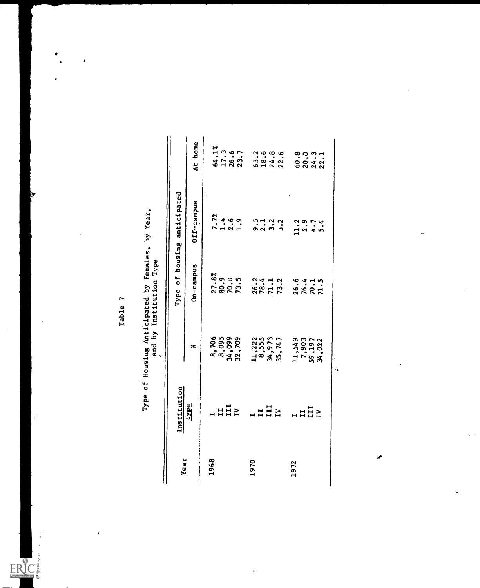$\ddot{\phantom{1}}$ 

ERIC

 $\cdot$ 

| Year | Institution    |                                       |                                       | Type of housing anticipated    |                                                                                                                                                                                                                                |
|------|----------------|---------------------------------------|---------------------------------------|--------------------------------|--------------------------------------------------------------------------------------------------------------------------------------------------------------------------------------------------------------------------------|
|      | <b>EVPE</b>    | z                                     | Cm-campus                             | Off-campus                     | At home                                                                                                                                                                                                                        |
| 1968 |                |                                       |                                       | Ä                              |                                                                                                                                                                                                                                |
|      | u d d d        |                                       |                                       |                                |                                                                                                                                                                                                                                |
|      |                |                                       |                                       |                                |                                                                                                                                                                                                                                |
|      |                | 8,706<br>8,095<br>34,099<br>32,709    | $27.8%$<br>$80.9$<br>$79.5$<br>$73.5$ | $7.7%$<br>$1.4%$<br>$1.3%$     | $64.1%$<br>$17.3$<br>$26.7$                                                                                                                                                                                                    |
| 1970 | 1112           |                                       |                                       |                                |                                                                                                                                                                                                                                |
|      |                |                                       |                                       |                                |                                                                                                                                                                                                                                |
|      |                |                                       |                                       |                                |                                                                                                                                                                                                                                |
|      |                | $11,222$<br>8,555<br>34,973<br>35,747 | 26.2<br>78.4<br>73.2                  | cia di<br>cia di cia           | $2, 4, 8, 6, 6, 7, 8, 6, 7, 8, 6, 7, 8, 6, 7, 8, 7, 8, 7, 8, 7, 8, 7, 8, 7, 8, 7, 8, 7, 8, 7, 8, 7, 8, 7, 8, 7, 8, 7, 8, 7, 8, 7, 8, 7, 8, 7, 8, 7, 8, 7, 8, 7, 8, 7, 8, 7, 8, 7, 8, 7, 8, 7, 8, 7, 8, 7, 8, 7, 8, 7, 8, 7, 8$ |
| 1972 | $\overline{a}$ | 11,549<br>7,903<br>59,197<br>34,022   |                                       |                                |                                                                                                                                                                                                                                |
|      |                |                                       | 26.4<br>76.1<br>72.5                  | $-1, 2, 7, 4$<br>$-1, 4, 5, 6$ |                                                                                                                                                                                                                                |
|      |                |                                       |                                       |                                |                                                                                                                                                                                                                                |
|      |                |                                       |                                       |                                | $8.331$<br>$8.331$<br>$8.42$                                                                                                                                                                                                   |
|      |                | ٠.                                    |                                       |                                |                                                                                                                                                                                                                                |
|      |                |                                       |                                       |                                |                                                                                                                                                                                                                                |
|      |                |                                       |                                       |                                |                                                                                                                                                                                                                                |

 $\frac{1}{2}$ 

Table 7<br>Type of Housing Anticipated by Females, by Year,<br>and by Institution Type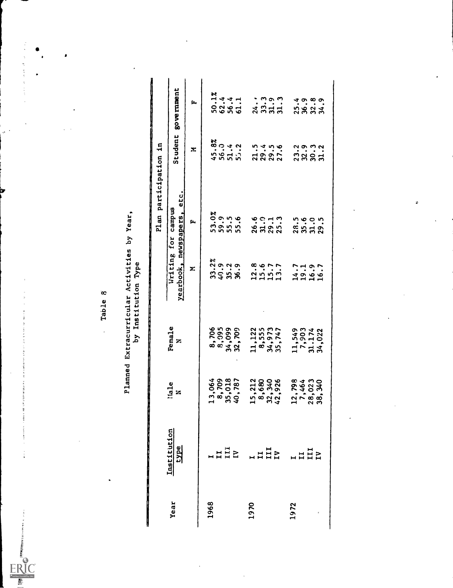### Table 8<br>Planned Extracurricular Activities by Year,<br>by Institution Type

|      |                     |                                                                 |                                       |                            | a se a composta de la propieta de la propieta de la propieta de la propieta de la propieta de la propieta de l<br>Plan participation in |                                       |                                     |
|------|---------------------|-----------------------------------------------------------------|---------------------------------------|----------------------------|-----------------------------------------------------------------------------------------------------------------------------------------|---------------------------------------|-------------------------------------|
| Year | Institution<br>type | liale<br>N                                                      | Female<br>z                           | yearbook, newspapers,      | etc.<br>Writing for campus                                                                                                              | Student                               | government                          |
|      |                     |                                                                 |                                       | Σ                          | fa,                                                                                                                                     | Σ                                     | ſ.,                                 |
| 1968 |                     |                                                                 |                                       |                            |                                                                                                                                         |                                       |                                     |
|      | $\frac{1}{111}$     | 13,064<br>8,709<br>35,018<br>40,787                             | 8,706<br>8,095<br>34,099<br>32,709    | 33.38.9<br>35.38.99        | 8<br>0.0. 1. 1.<br>5.0. 1. 1.<br>5.0. 1. 1.                                                                                             | $45.8$<br>$56.34$<br>$51.2$<br>$51.2$ | $50.1%$<br>$50.4$<br>$56.4$<br>61.1 |
|      |                     |                                                                 |                                       |                            |                                                                                                                                         |                                       |                                     |
|      |                     |                                                                 |                                       |                            |                                                                                                                                         |                                       |                                     |
|      |                     |                                                                 |                                       |                            |                                                                                                                                         |                                       |                                     |
| 1970 | $\overline{u}$      | 218998<br>$\frac{1}{1} \otimes \frac{1}{2} \otimes \frac{1}{4}$ | $11,122$<br>8,555<br>34,973<br>35,747 |                            |                                                                                                                                         |                                       |                                     |
|      |                     |                                                                 |                                       | $12.8$<br>$15.7$<br>$13.7$ | 60013<br>8523                                                                                                                           |                                       |                                     |
|      |                     |                                                                 |                                       |                            |                                                                                                                                         |                                       |                                     |
|      |                     |                                                                 |                                       |                            |                                                                                                                                         |                                       |                                     |
|      |                     |                                                                 |                                       |                            |                                                                                                                                         | 51456<br>2002<br>2002                 | : ? ? ? ?<br>2 3 3 3 3<br>2 3 3 3   |
| 1972 | $H$ $H$ $H$ $R$     | $\mathbf{r}$                                                    |                                       |                            |                                                                                                                                         |                                       |                                     |
|      |                     | 84<br>8423<br>8423                                              | $11,549$<br>7,903<br>31.174<br>34,022 | 14.7<br>19.9<br>16.7       |                                                                                                                                         |                                       |                                     |
|      |                     | <b>ာ</b> စစ္တဲ့<br>၁၈                                           |                                       |                            |                                                                                                                                         |                                       |                                     |
|      |                     |                                                                 |                                       |                            | 5<br>8555<br>2858                                                                                                                       | 23<br>23521                           | 49899<br>5824                       |
|      |                     |                                                                 |                                       |                            |                                                                                                                                         |                                       |                                     |
|      |                     |                                                                 |                                       |                            |                                                                                                                                         |                                       |                                     |
|      |                     |                                                                 |                                       |                            |                                                                                                                                         |                                       |                                     |
|      |                     |                                                                 |                                       |                            |                                                                                                                                         |                                       |                                     |

医皮肤 医血管血管

 $\frac{1}{2}$ 

 $\frac{\partial}{\partial t} = \frac{\partial}{\partial x}$ 

and the fill and still in the control of the

to seeing a responsibility of the control of the second con-

s percent

 $\frac{1}{4}$ 

- t-r t-r h-r b-b-z-r Help Middleball

 $E$ R ext Pro<br>Card

J. ç.

 $\bullet$ 

 $\overline{\phantom{a}}$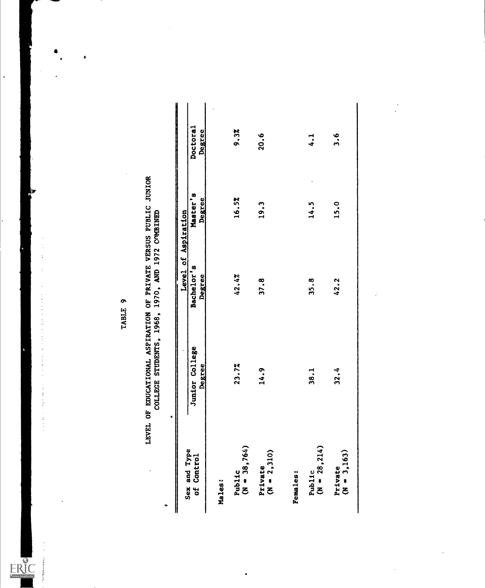$\cdot$ 

 $\frac{1}{2}$ 

化聚焦化聚焦 化乙酰胺 医神经管的 医水杨酸盐 医水杨酸 医阿拉伯氏征 医心包 医心包膜炎 医心包

**Solution** and Miller March Mon

 $ERIC$ 

|                            |                                 | Level of Aspiration  |                    |                      |
|----------------------------|---------------------------------|----------------------|--------------------|----------------------|
| Sex and Type<br>of Control | Junior College<br><b>Degree</b> | Bachelor's<br>Degree | Master's<br>Degree | Doctoral<br>Degree   |
| Males:                     |                                 |                      |                    |                      |
| Public<br>(N = 38,764)     | 23.72                           | 42.4%                | 16.5%              | 9.32                 |
| $(N = 2,310)$<br>Private   | 14.9                            | 37.8                 | 19.3               | 20.6                 |
| <b>Females:</b>            |                                 |                      |                    |                      |
| $(N = 28, 214)$<br>Public  | <b>38.1</b>                     | 35.8                 | 14.5               | $\ddot{\phantom{0}}$ |
| Private<br>( $N = 3,163$ ) | 32.4                            | 42.2                 | 15.0               | 3.6                  |

# TABLE 9<br>LEVEL OF EDUCATIONAL ASPIRATION OF PRIVATE VERSUS PUBLIC JUNIOR<br>COLLECE STUDENTS, 1968, 1970, AND 1972 CONBINED

 $\ddot{\phantom{a}}$ 

 $\frac{1}{2}$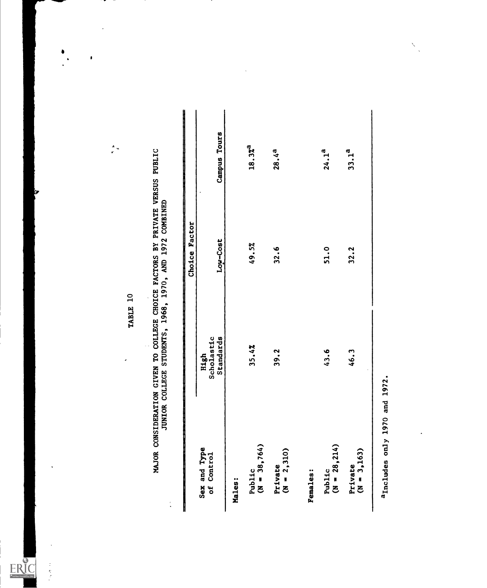$\overline{\phantom{a}}$ 

 $\ddot{\phantom{0}}$ 

 $\frac{1}{\sigma} \frac{u}{u}$ 

 $\bullet$ 

 $\begin{array}{c} \bullet \\ \bullet \\ \bullet \end{array}$ 

 $\ddot{\phantom{1}}$ 

ł,

工程式

ERIC<br>AFULTENT Provided by ERIC

|                            |                                 | Factor<br>Choice |                    |
|----------------------------|---------------------------------|------------------|--------------------|
| Sex and Type<br>of Control | Scholastic<br>Standards<br>High | Low-Cost         | Campus Tours       |
| Males:                     |                                 |                  |                    |
| Public<br>(N = 38,764)     | 35.4%                           | 49.5%            | 18.37 <sup>3</sup> |
| $(N = 2, 310)$<br>Private  | 39.2                            | 32.6             | 28.4 <sup>3</sup>  |
| <b>Females:</b>            |                                 |                  |                    |
| Public<br>( $N = 28,214$ ) | 43.6                            | 51.0             | 24.1 <sup>3</sup>  |
| $(N = 3,163)$<br>Private   | 46.3                            | 32.2             | 33.1 <sup>a</sup>  |

l,

 $\ddot{\phantom{0}}$ 

 $\hat{\mathcal{S}}$  $\ddot{\phantom{a}}$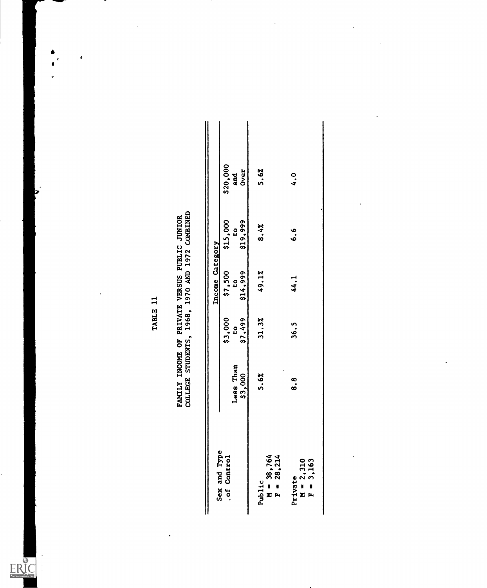l.

l,

 $ERIC$ 

 $\bar{\mathrm{t}}$ 

 $\begin{array}{c}\n\bullet \\
\bullet\n\end{array}$ 

 $\cdot$ 

 $\pmb{\epsilon}$ 

TABLE 11<br>FAMILY INCOME OF PRIVATE VERSUS PUBLIC JUNIOR<br>COLLEGE STUDENTS, 1968, 1970 AND 1972 COMBINED

|                                        |           |                           | Income Category          |                          |                          |  |
|----------------------------------------|-----------|---------------------------|--------------------------|--------------------------|--------------------------|--|
| Sex and Type<br>.of Control            | Less Than | \$3,000<br>$\mathfrak{c}$ | \$7,500<br>$\frac{5}{2}$ | \$15,000<br>$\mathbf{c}$ | $$20,000$<br>and<br>Over |  |
|                                        | \$3,000   | \$7,499                   | \$14,999                 | \$19,999                 |                          |  |
| $M = 38,764$<br>$F = 28,214$<br>Public | 5.6%      | 31.3%                     | 49.1%                    | 8.4%                     | 5.6%                     |  |
| Private<br>$M = 2,310$<br>$F = 3,163$  | ∞.<br>∞๋  | 36.5                      | 44.1                     | 6.6                      | $\ddot{ }$ .             |  |
|                                        |           |                           |                          |                          |                          |  |

 $\overline{\phantom{a}}$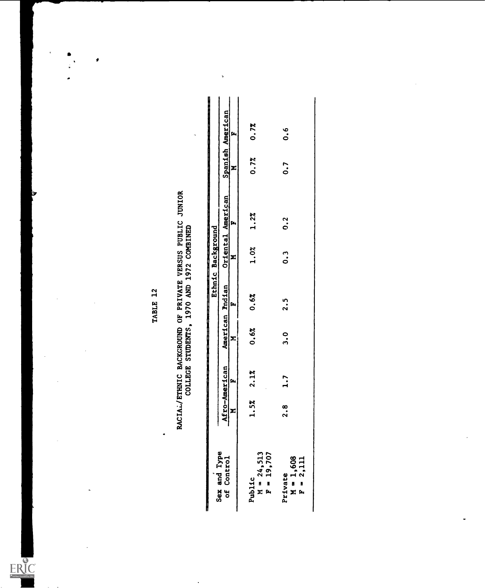ł,

 $\ddot{\phantom{a}}$ 

 $\overline{\phantom{a}}$ 

ERIC

 $\bullet$ 

Ġ,

 $\ddot{\phantom{1}}$  $\ddot{\bullet}$  $\cdot$ 

 $\bullet$ 

### TABLE 12<br>RACIAL/ETHNIC BACKGROUND OF PRIVATE VERSUS PUBLIC JUNIOR<br>COLLEGE STUDENTS, 1970 AND 1972 COMBINED

|                                       |                    |              |                 |      | Ethnic Background |                   |                      |                  |
|---------------------------------------|--------------------|--------------|-----------------|------|-------------------|-------------------|----------------------|------------------|
| Sex and Type<br>of Control            | Afro-American<br>M |              | American Pndian |      |                   | Oriental American |                      | Spanish American |
|                                       |                    |              | z               | ſz,  | z                 | ſ.                | Σ                    | Ŀ                |
| Public<br>M = 24,513<br>F = 19,707    | 5%                 | $2.1\%$      | 0.62            | 0.6% | $1.0\%$ $1.2\%$   |                   | 0.72                 | 0.72             |
| Private<br>$M = 1,608$<br>$F = 2,111$ | œ                  | $\ddot{ }$ . | ດ<br>ຕ          | 2.5  | 。<br>。            | 0.2               | $\ddot{\phantom{0}}$ | 0.6              |

þ,

l,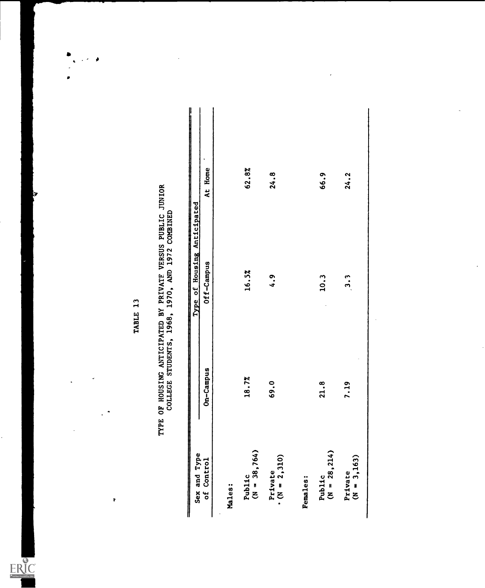$\ddot{\mathbf{r}}$ 

 $ERIC$ 

## TABLE 13<br>TYPE OF HOUSING ANTICIPATED BY PRIVATE VERSUS PUBLIC JUNIOR<br>COLLEGE STUDENTS, 1968, 1970, AND 1972 COMBINED

|                            |           | Type of Housing Anticipated<br>▌ |         |
|----------------------------|-----------|----------------------------------|---------|
| Sex and Type<br>of Control | On-Campus | Off-Campus                       | At Home |
|                            |           |                                  |         |
| Males:                     |           |                                  |         |
| Public<br>( $N = 38,764$ ) | 18.7%     | 16.5%                            | 62.8%   |
| Private<br>$($ N = 2, 310) | 69.0      | 4.9                              | 24.8    |
| Females:                   |           |                                  |         |
| Public<br>(N = 28,214)     | 21.8      | 10.3                             | 66.9    |
| $(N = 3, 163)$<br>Private  | 7.19      | 3.3                              | 24.2    |
|                            |           |                                  |         |

 $\mathbb{Z}^{\times 2}$ 

 $\bullet$